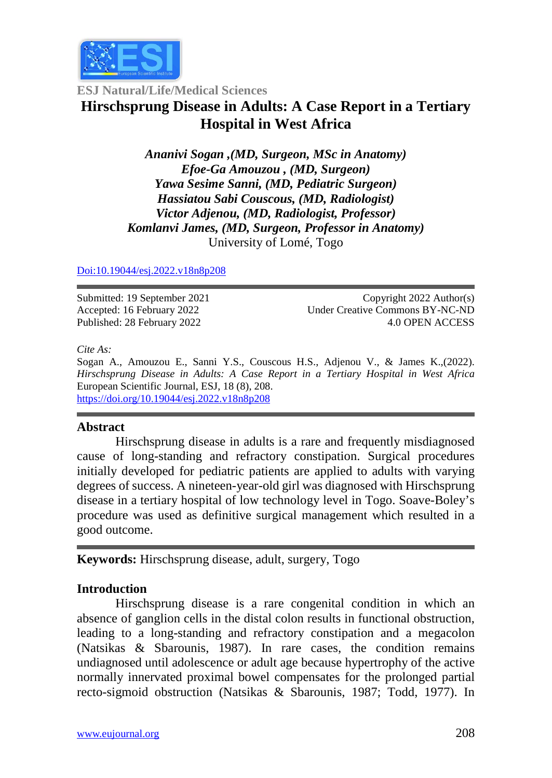

**ESJ Natural/Life/Medical Sciences**

# **Hirschsprung Disease in Adults: A Case Report in a Tertiary Hospital in West Africa**

*Ananivi Sogan ,(MD, Surgeon, MSc in Anatomy) Efoe-Ga Amouzou , (MD, Surgeon) Yawa Sesime Sanni, (MD, Pediatric Surgeon) Hassiatou Sabi Couscous, (MD, Radiologist) Victor Adjenou, (MD, Radiologist, Professor) Komlanvi James, (MD, Surgeon, Professor in Anatomy)* University of Lomé, Togo

[Doi:10.19044/esj.2022.v18n8p2](https://doi.org/10.19044/esj.2021.v17n29p1)08

Submitted: 19 September 2021 Accepted: 16 February 2022 Published: 28 February 2022

Copyright 2022 Author(s) Under Creative Commons BY-NC-ND 4.0 OPEN ACCESS

#### *Cite As:*

Sogan A., Amouzou E., Sanni Y.S., Couscous H.S., Adjenou V., & James K.,(2022). *Hirschsprung Disease in Adults: A Case Report in a Tertiary Hospital in West Africa* European Scientific Journal, ESJ, 18 (8), 208. <https://doi.org/10.19044/esj.2022.v18n8p208>

## **Abstract**

Hirschsprung disease in adults is a rare and frequently misdiagnosed cause of long-standing and refractory constipation. Surgical procedures initially developed for pediatric patients are applied to adults with varying degrees of success. A nineteen-year-old girl was diagnosed with Hirschsprung disease in a tertiary hospital of low technology level in Togo. Soave-Boley's procedure was used as definitive surgical management which resulted in a good outcome.

**Keywords:** Hirschsprung disease, adult, surgery, Togo

## **Introduction**

Hirschsprung disease is a rare congenital condition in which an absence of ganglion cells in the distal colon results in functional obstruction, leading to a long-standing and refractory constipation and a megacolon (Natsikas & Sbarounis, 1987). In rare cases, the condition remains undiagnosed until adolescence or adult age because hypertrophy of the active normally innervated proximal bowel compensates for the prolonged partial recto-sigmoid obstruction (Natsikas & Sbarounis, 1987; Todd, 1977). In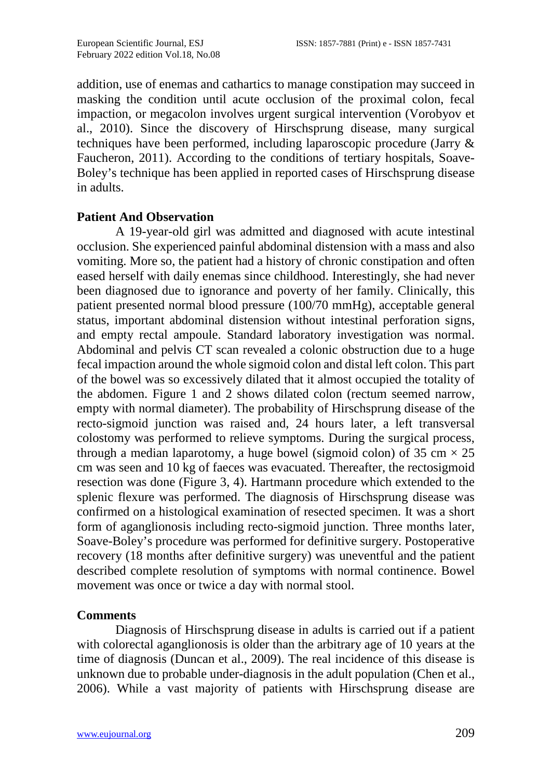addition, use of enemas and cathartics to manage constipation may succeed in masking the condition until acute occlusion of the proximal colon, fecal impaction, or megacolon involves urgent surgical intervention (Vorobyov et al., 2010). Since the discovery of Hirschsprung disease, many surgical techniques have been performed, including laparoscopic procedure (Jarry & Faucheron, 2011). According to the conditions of tertiary hospitals, Soave-Boley's technique has been applied in reported cases of Hirschsprung disease in adults.

## **Patient And Observation**

A 19-year-old girl was admitted and diagnosed with acute intestinal occlusion. She experienced painful abdominal distension with a mass and also vomiting. More so, the patient had a history of chronic constipation and often eased herself with daily enemas since childhood. Interestingly, she had never been diagnosed due to ignorance and poverty of her family. Clinically, this patient presented normal blood pressure (100/70 mmHg), acceptable general status, important abdominal distension without intestinal perforation signs, and empty rectal ampoule. Standard laboratory investigation was normal. Abdominal and pelvis CT scan revealed a colonic obstruction due to a huge fecal impaction around the whole sigmoid colon and distal left colon. This part of the bowel was so excessively dilated that it almost occupied the totality of the abdomen. Figure 1 and 2 shows dilated colon (rectum seemed narrow, empty with normal diameter). The probability of Hirschsprung disease of the recto-sigmoid junction was raised and, 24 hours later, a left transversal colostomy was performed to relieve symptoms. During the surgical process, through a median laparotomy, a huge bowel (sigmoid colon) of 35 cm  $\times$  25 cm was seen and 10 kg of faeces was evacuated. Thereafter, the rectosigmoid resection was done (Figure 3, 4). Hartmann procedure which extended to the splenic flexure was performed. The diagnosis of Hirschsprung disease was confirmed on a histological examination of resected specimen. It was a short form of aganglionosis including recto-sigmoid junction. Three months later, Soave-Boley's procedure was performed for definitive surgery. Postoperative recovery (18 months after definitive surgery) was uneventful and the patient described complete resolution of symptoms with normal continence. Bowel movement was once or twice a day with normal stool.

## **Comments**

Diagnosis of Hirschsprung disease in adults is carried out if a patient with colorectal aganglionosis is older than the arbitrary age of 10 years at the time of diagnosis (Duncan et al., 2009). The real incidence of this disease is unknown due to probable under-diagnosis in the adult population (Chen et al., 2006). While a vast majority of patients with Hirschsprung disease are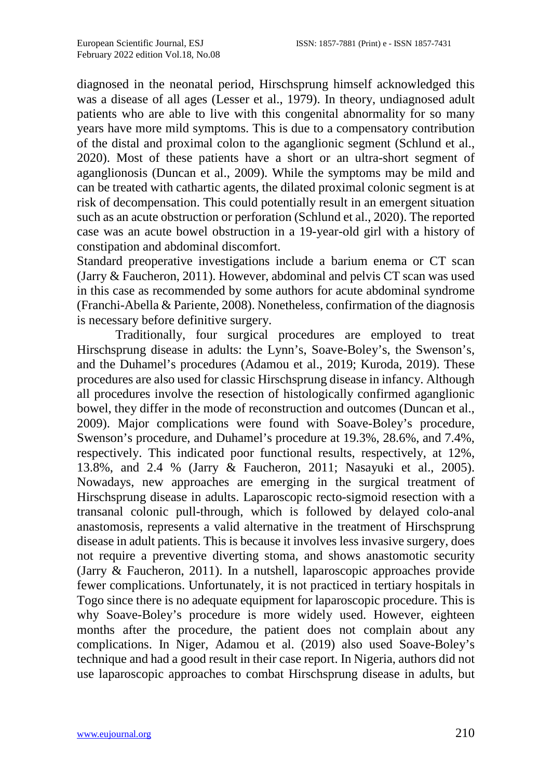diagnosed in the neonatal period, Hirschsprung himself acknowledged this was a disease of all ages (Lesser et al., 1979). In theory, undiagnosed adult patients who are able to live with this congenital abnormality for so many years have more mild symptoms. This is due to a compensatory contribution of the distal and proximal colon to the aganglionic segment (Schlund et al., 2020). Most of these patients have a short or an ultra-short segment of aganglionosis (Duncan et al., 2009). While the symptoms may be mild and can be treated with cathartic agents, the dilated proximal colonic segment is at risk of decompensation. This could potentially result in an emergent situation such as an acute obstruction or perforation (Schlund et al., 2020). The reported case was an acute bowel obstruction in a 19-year-old girl with a history of constipation and abdominal discomfort.

Standard preoperative investigations include a barium enema or CT scan (Jarry & Faucheron, 2011). However, abdominal and pelvis CT scan was used in this case as recommended by some authors for acute abdominal syndrome (Franchi-Abella & Pariente, 2008). Nonetheless, confirmation of the diagnosis is necessary before definitive surgery.

Traditionally, four surgical procedures are employed to treat Hirschsprung disease in adults: the Lynn's, Soave-Boley's, the Swenson's, and the Duhamel's procedures (Adamou et al., 2019; Kuroda, 2019). These procedures are also used for classic Hirschsprung disease in infancy. Although all procedures involve the resection of histologically confirmed aganglionic bowel, they differ in the mode of reconstruction and outcomes (Duncan et al., 2009). Major complications were found with Soave-Boley's procedure, Swenson's procedure, and Duhamel's procedure at 19.3%, 28.6%, and 7.4%, respectively. This indicated poor functional results, respectively, at 12%, 13.8%, and 2.4 % (Jarry & Faucheron, 2011; Nasayuki et al., 2005). Nowadays, new approaches are emerging in the surgical treatment of Hirschsprung disease in adults. Laparoscopic recto-sigmoid resection with a transanal colonic pull-through, which is followed by delayed colo-anal anastomosis, represents a valid alternative in the treatment of Hirschsprung disease in adult patients. This is because it involves less invasive surgery, does not require a preventive diverting stoma, and shows anastomotic security (Jarry & Faucheron, 2011). In a nutshell, laparoscopic approaches provide fewer complications. Unfortunately, it is not practiced in tertiary hospitals in Togo since there is no adequate equipment for laparoscopic procedure. This is why Soave-Boley's procedure is more widely used. However, eighteen months after the procedure, the patient does not complain about any complications. In Niger, Adamou et al. (2019) also used Soave-Boley's technique and had a good result in their case report. In Nigeria, authors did not use laparoscopic approaches to combat Hirschsprung disease in adults, but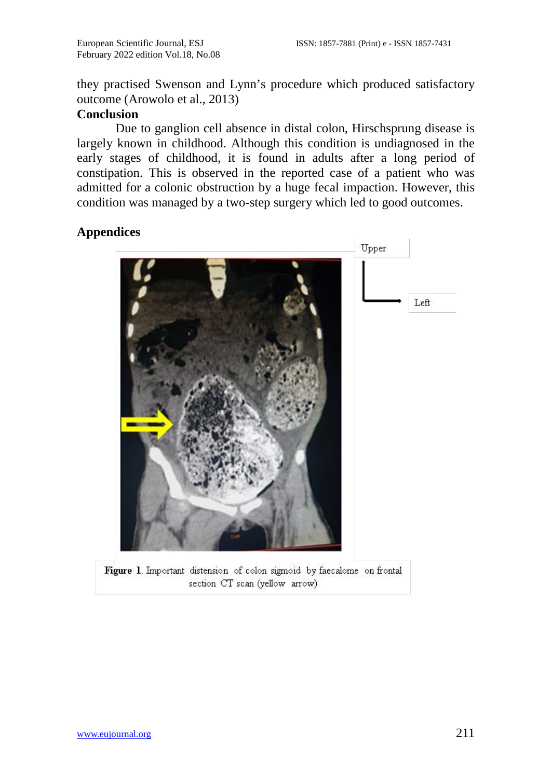they practised Swenson and Lynn's procedure which produced satisfactory outcome (Arowolo et al., 2013)

## **Conclusion**

Due to ganglion cell absence in distal colon, Hirschsprung disease is largely known in childhood. Although this condition is undiagnosed in the early stages of childhood, it is found in adults after a long period of constipation. This is observed in the reported case of a patient who was admitted for a colonic obstruction by a huge fecal impaction. However, this condition was managed by a two-step surgery which led to good outcomes.

# **Appendices**



Figure 1. Important distension of colon sigmoid by faecalome on frontal section CT scan (yellow arrow)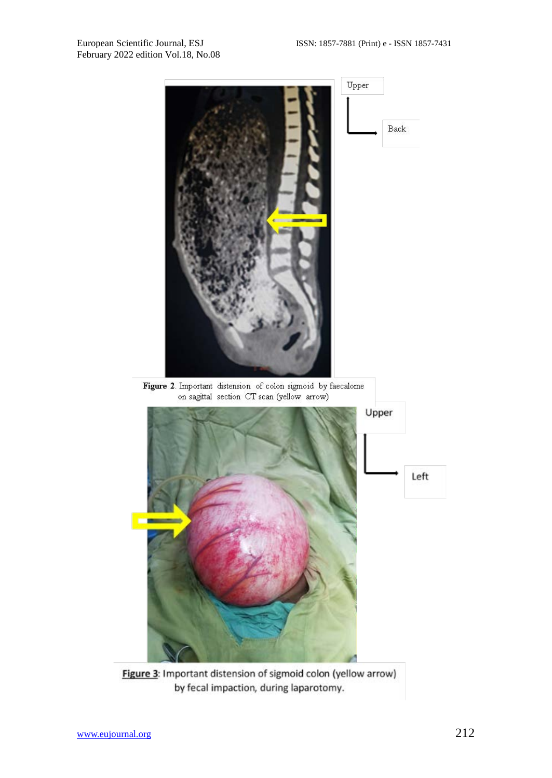

Figure 3: Important distension of sigmoid colon (yellow arrow) by fecal impaction, during laparotomy.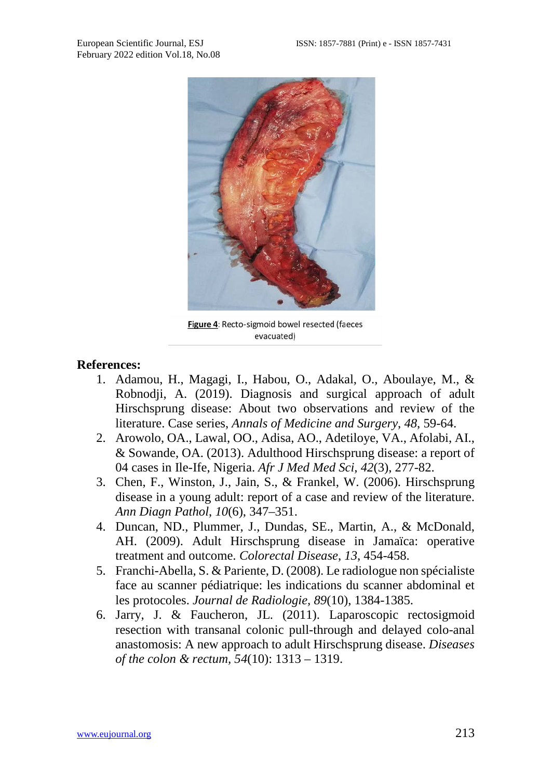

Figure 4: Recto-sigmoid bowel resected (faeces evacuated)

#### **References:**

- 1. Adamou, H., Magagi, I., Habou, O., Adakal, O., Aboulaye, M., & Robnodji, A. (2019). Diagnosis and surgical approach of adult Hirschsprung disease: About two observations and review of the literature. Case series, *Annals of Medicine and Surgery*, *48*, 59-64.
- 2. Arowolo, OA., Lawal, OO., Adisa, AO., Adetiloye, VA., Afolabi, AI., & Sowande, OA. (2013). Adulthood Hirschsprung disease: a report of 04 cases in Ile-Ife, Nigeria. *Afr J Med Med Sci, 42*(3), 277-82.
- 3. Chen, F., Winston, J., Jain, S., & Frankel, W. (2006). Hirschsprung disease in a young adult: report of a case and review of the literature. *Ann Diagn Pathol*, *10*(6), 347–351.
- 4. Duncan, ND., Plummer, J., Dundas, SE., Martin, A., & McDonald, AH. (2009). Adult Hirschsprung disease in Jamaïca: operative treatment and outcome. *Colorectal Disease*, *13*, 454-458.
- 5. Franchi-Abella, S. & Pariente, D. (2008). Le radiologue non spécialiste face au scanner pédiatrique: les indications du scanner abdominal et les protocoles. *Journal de Radiologie, 89*(10), 1384-1385.
- 6. Jarry, J. & Faucheron, JL. (2011). Laparoscopic rectosigmoid resection with transanal colonic pull-through and delayed colo-anal anastomosis: A new approach to adult Hirschsprung disease. *Diseases of the colon & rectum, 54*(10): 1313 – 1319.